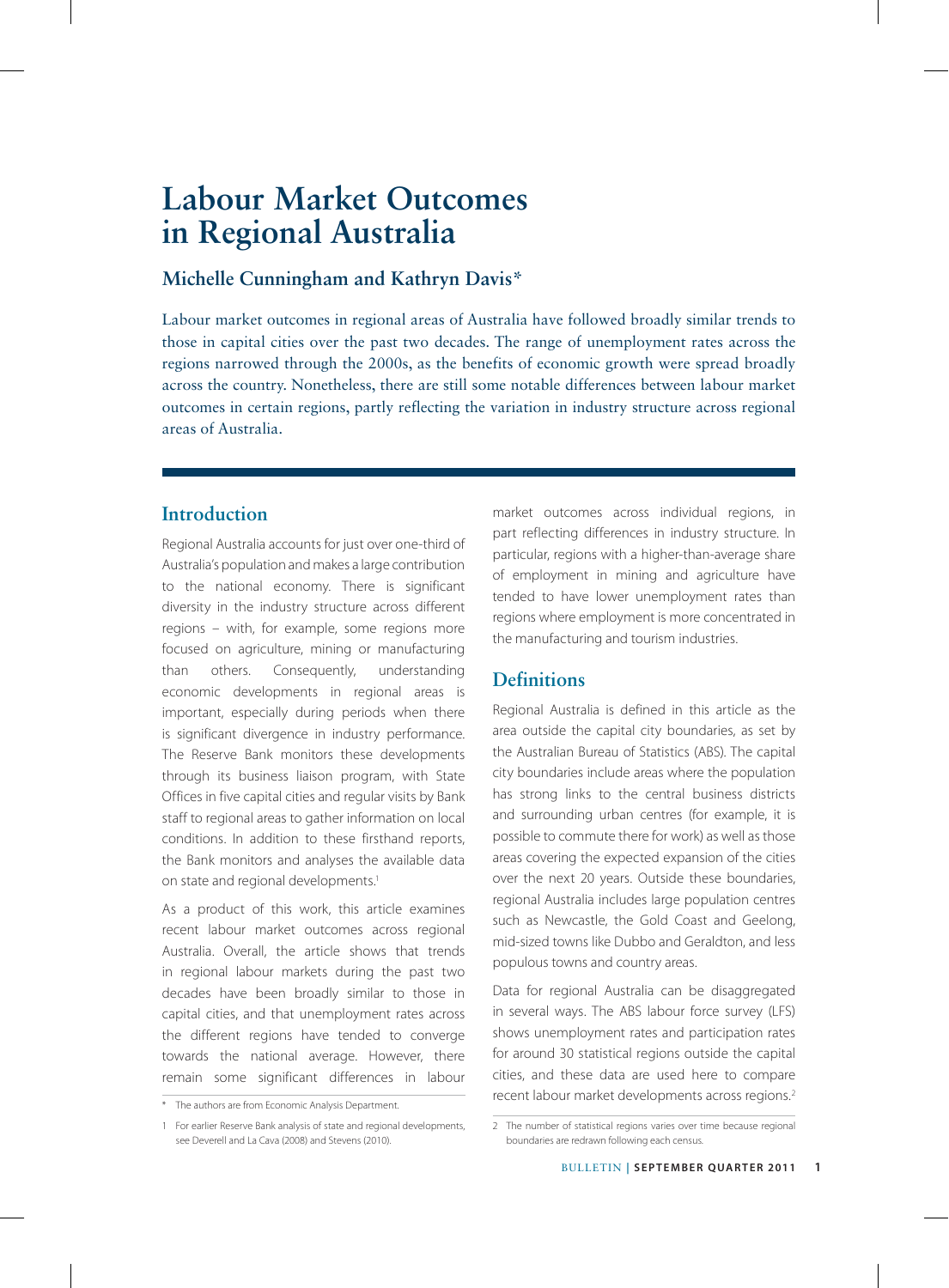# **Michelle Cunningham and Kathryn Davis\***

Labour market outcomes in regional areas of Australia have followed broadly similar trends to those in capital cities over the past two decades. The range of unemployment rates across the regions narrowed through the 2000s, as the benefits of economic growth were spread broadly across the country. Nonetheless, there are still some notable differences between labour market outcomes in certain regions, partly reflecting the variation in industry structure across regional areas of Australia.

# **Introduction**

Regional Australia accounts for just over one-third of Australia's population and makes a large contribution to the national economy. There is significant diversity in the industry structure across different regions – with, for example, some regions more focused on agriculture, mining or manufacturing than others. Consequently, understanding economic developments in regional areas is important, especially during periods when there is significant divergence in industry performance. The Reserve Bank monitors these developments through its business liaison program, with State Offices in five capital cities and regular visits by Bank staff to regional areas to gather information on local conditions. In addition to these firsthand reports, the Bank monitors and analyses the available data on state and regional developments.<sup>1</sup>

As a product of this work, this article examines recent labour market outcomes across regional Australia. Overall, the article shows that trends in regional labour markets during the past two decades have been broadly similar to those in capital cities, and that unemployment rates across the different regions have tended to converge towards the national average. However, there remain some significant differences in labour

market outcomes across individual regions, in part reflecting differences in industry structure. In particular, regions with a higher-than-average share of employment in mining and agriculture have tended to have lower unemployment rates than regions where employment is more concentrated in the manufacturing and tourism industries.

## **Definitions**

Regional Australia is defined in this article as the area outside the capital city boundaries, as set by the Australian Bureau of Statistics (ABS). The capital city boundaries include areas where the population has strong links to the central business districts and surrounding urban centres (for example, it is possible to commute there for work) as well as those areas covering the expected expansion of the cities over the next 20 years. Outside these boundaries, regional Australia includes large population centres such as Newcastle, the Gold Coast and Geelong, mid-sized towns like Dubbo and Geraldton, and less populous towns and country areas.

Data for regional Australia can be disaggregated in several ways. The ABS labour force survey (LFS) shows unemployment rates and participation rates for around 30 statistical regions outside the capital cities, and these data are used here to compare recent labour market developments across regions.<sup>2</sup>

<sup>\*</sup> The authors are from Economic Analysis Department.

<sup>1</sup> For earlier Reserve Bank analysis of state and regional developments, see Deverell and La Cava (2008) and Stevens (2010).

<sup>2</sup> The number of statistical regions varies over time because regional boundaries are redrawn following each census.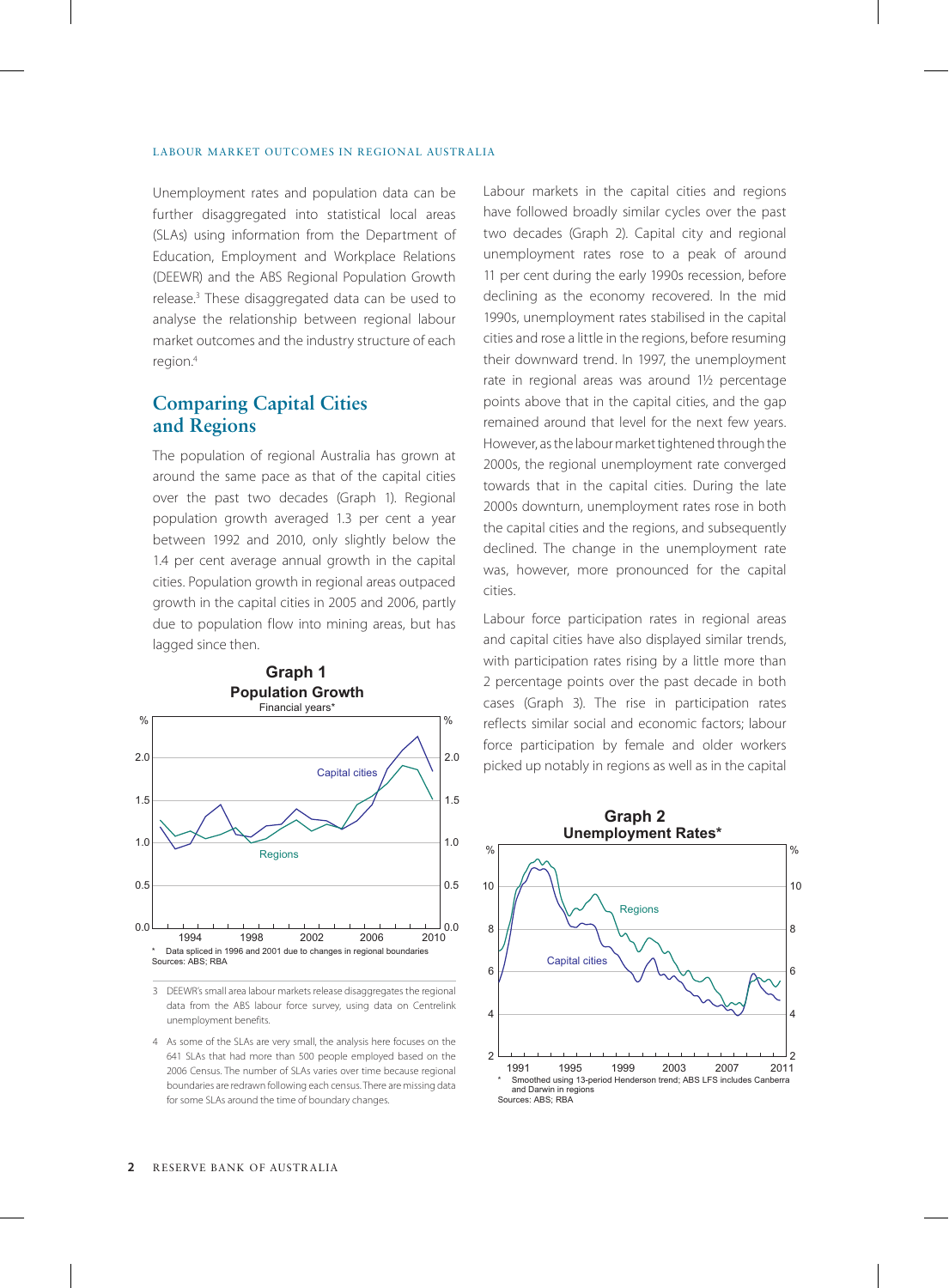Unemployment rates and population data can be further disaggregated into statistical local areas (SLAs) using information from the Department of Education, Employment and Workplace Relations (DEEWR) and the ABS Regional Population Growth release.3 These disaggregated data can be used to analyse the relationship between regional labour market outcomes and the industry structure of each region.4

### **Comparing Capital Cities and Regions**

The population of regional Australia has grown at around the same pace as that of the capital cities over the past two decades (Graph 1). Regional population growth averaged 1.3 per cent a year between 1992 and 2010, only slightly below the 1.4 per cent average annual growth in the capital cities. Population growth in regional areas outpaced growth in the capital cities in 2005 and 2006, partly due to population flow into mining areas, but has lagged since then.



3 DEEWR's small area labour markets release disaggregates the regional data from the ABS labour force survey, using data on Centrelink unemployment benefits.

4 As some of the SLAs are very small, the analysis here focuses on the 641 SLAs that had more than 500 people employed based on the 2006 Census. The number of SLAs varies over time because regional boundaries are redrawn following each census. There are missing data for some SLAs around the time of boundary changes.

Labour markets in the capital cities and regions have followed broadly similar cycles over the past two decades (Graph 2). Capital city and regional unemployment rates rose to a peak of around 11 per cent during the early 1990s recession, before declining as the economy recovered. In the mid 1990s, unemployment rates stabilised in the capital cities and rose a little in the regions, before resuming their downward trend. In 1997, the unemployment rate in regional areas was around 1½ percentage points above that in the capital cities, and the gap remained around that level for the next few years. However, as the labour market tightened through the 2000s, the regional unemployment rate converged towards that in the capital cities. During the late 2000s downturn, unemployment rates rose in both the capital cities and the regions, and subsequently declined. The change in the unemployment rate was, however, more pronounced for the capital cities.

Labour force participation rates in regional areas and capital cities have also displayed similar trends, with participation rates rising by a little more than 2 percentage points over the past decade in both cases (Graph 3). The rise in participation rates reflects similar social and economic factors; labour force participation by female and older workers picked up notably in regions as well as in the capital

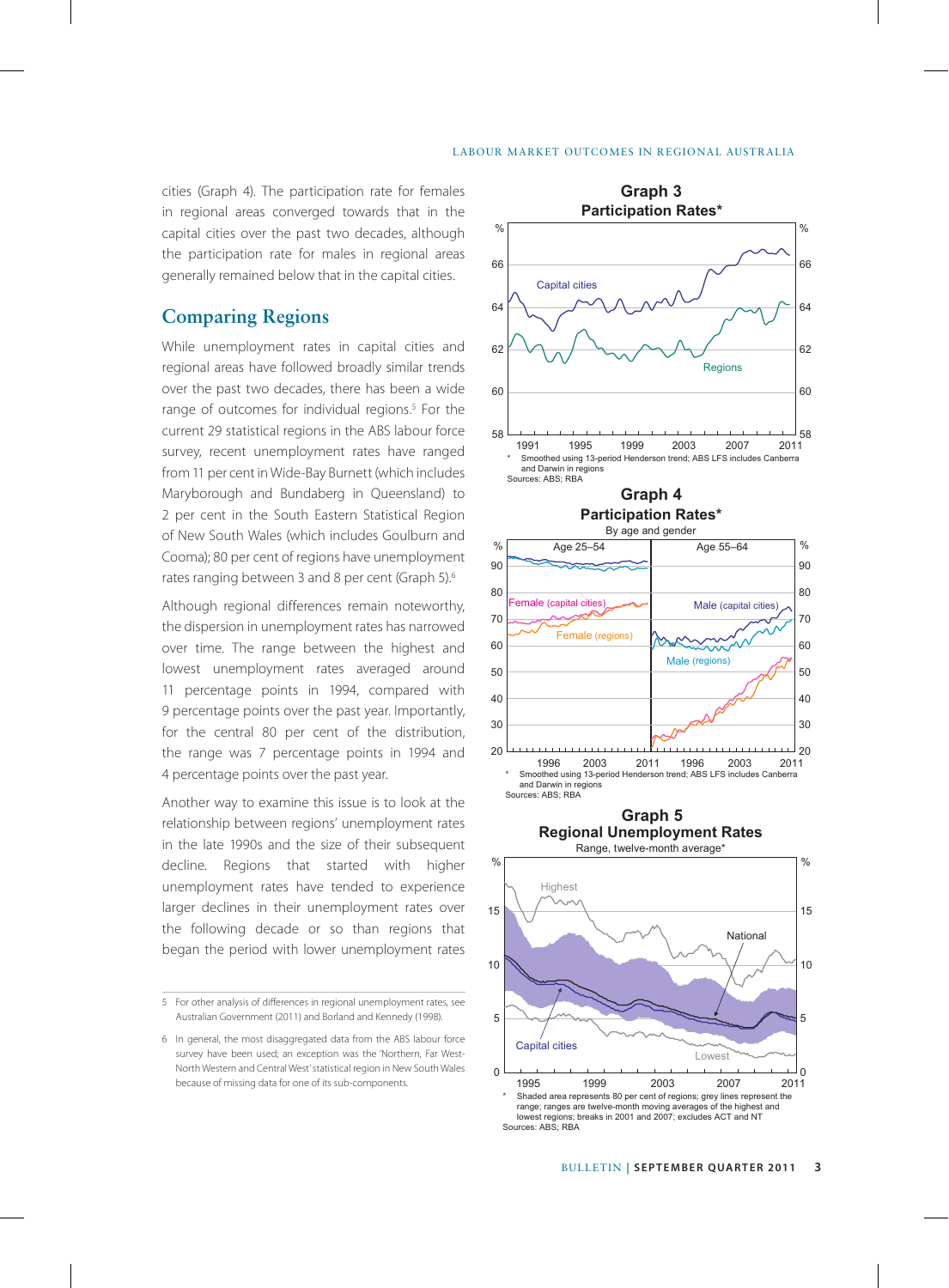cities (Graph 4). The participation rate for females in regional areas converged towards that in the capital cities over the past two decades, although the participation rate for males in regional areas generally remained below that in the capital cities.

### **Comparing Regions**

While unemployment rates in capital cities and regional areas have followed broadly similar trends over the past two decades, there has been a wide range of outcomes for individual regions.<sup>5</sup> For the current 29 statistical regions in the ABS labour force survey, recent unemployment rates have ranged from 11 per cent in Wide-Bay Burnett (which includes Maryborough and Bundaberg in Queensland) to 2 per cent in the South Eastern Statistical Region of New South Wales (which includes Goulburn and Cooma); 80 per cent of regions have unemployment rates ranging between 3 and 8 per cent (Graph 5).<sup>6</sup>

Although regional differences remain noteworthy, the dispersion in unemployment rates has narrowed over time. The range between the highest and lowest unemployment rates averaged around 11 percentage points in 1994, compared with 9 percentage points over the past year. Importantly, for the central 80 per cent of the distribution, the range was 7 percentage points in 1994 and 4 percentage points over the past year.

Another way to examine this issue is to look at the relationship between regions' unemployment rates in the late 1990s and the size of their subsequent decline. Regions that started with higher unemployment rates have tended to experience larger declines in their unemployment rates over the following decade or so than regions that began the period with lower unemployment rates





<sup>5</sup> For other analysis of differences in regional unemployment rates, see Australian Government (2011) and Borland and Kennedy (1998).

<sup>6</sup> In general, the most disaggregated data from the ABS labour force survey have been used; an exception was the 'Northern, Far West-North Western and Central West' statistical region in New South Wales because of missing data for one of its sub-components.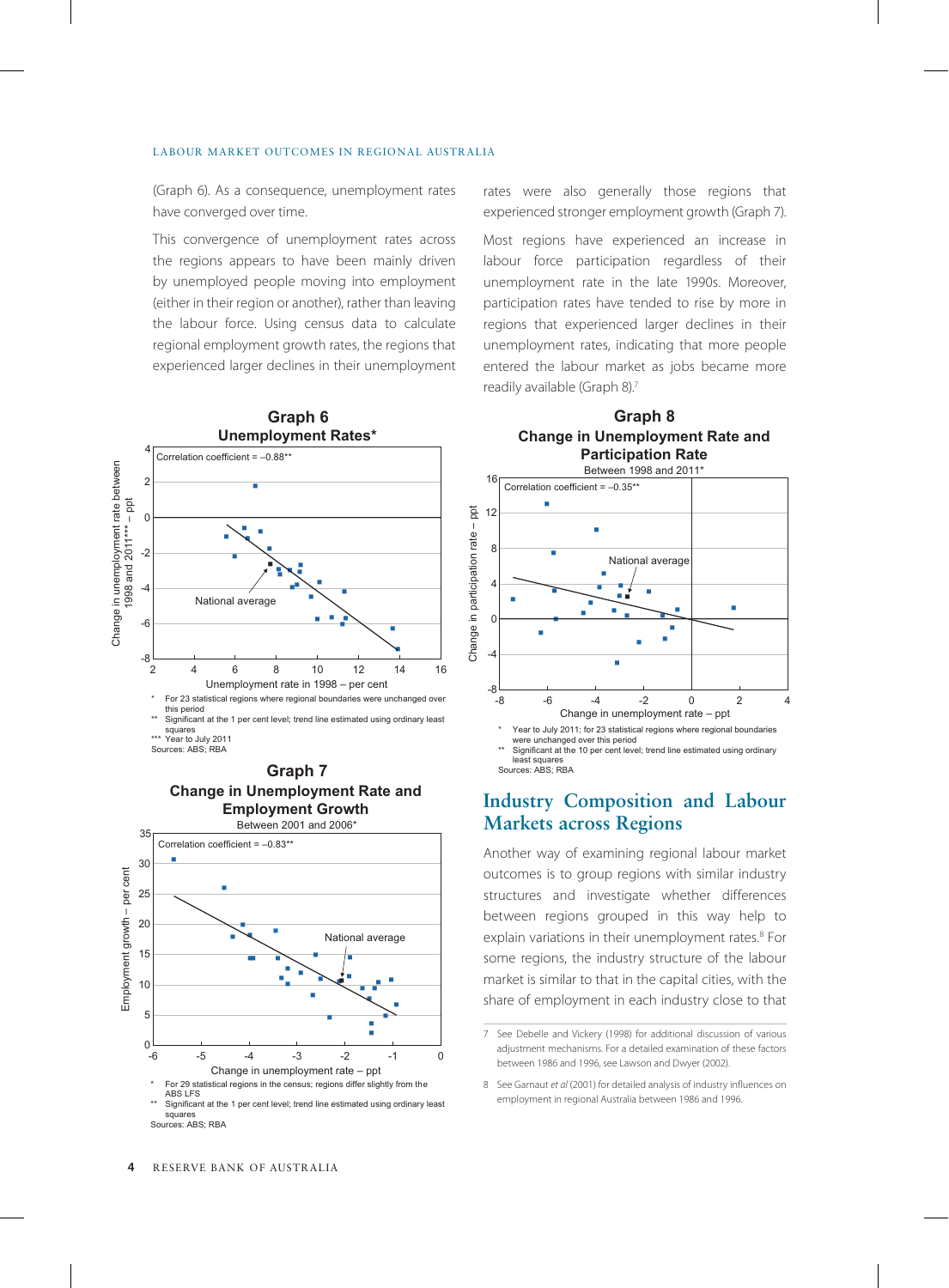(Graph 6). As a consequence, unemployment rates have converged over time.

This convergence of unemployment rates across the regions appears to have been mainly driven by unemployed people moving into employment (either in their region or another), rather than leaving the labour force. Using census data to calculate regional employment growth rates, the regions that experienced larger declines in their unemployment







Sources: ABS: RBA

rates were also generally those regions that experienced stronger employment growth (Graph 7).

Most regions have experienced an increase in labour force participation regardless of their unemployment rate in the late 1990s. Moreover, participation rates have tended to rise by more in regions that experienced larger declines in their unemployment rates, indicating that more people entered the labour market as jobs became more readily available (Graph 8).7

**Graph 8**



**Industry Composition and Labour Markets across Regions**

least squares Sources: ABS; RBA

Significant at the 10 per cent level; trend line estimated using ordinary

Another way of examining regional labour market outcomes is to group regions with similar industry structures and investigate whether differences between regions grouped in this way help to explain variations in their unemployment rates.<sup>8</sup> For some regions, the industry structure of the labour market is similar to that in the capital cities, with the share of employment in each industry close to that

<sup>7</sup> See Debelle and Vickery (1998) for additional discussion of various adjustment mechanisms. For a detailed examination of these factors between 1986 and 1996, see Lawson and Dwyer (2002).

<sup>8</sup> See Garnaut *et al* (2001) for detailed analysis of industry influences on employment in regional Australia between 1986 and 1996.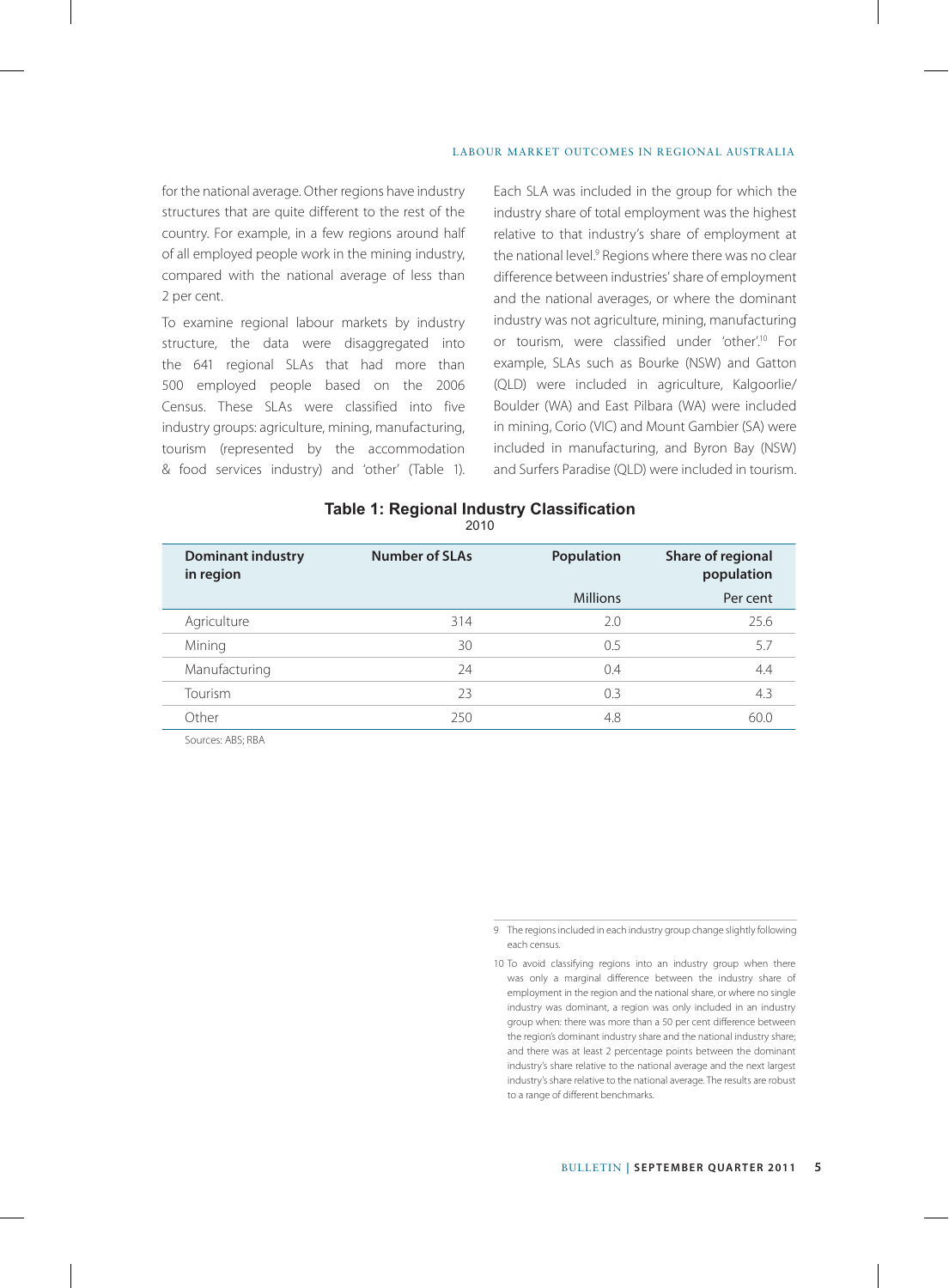for the national average. Other regions have industry structures that are quite different to the rest of the country. For example, in a few regions around half of all employed people work in the mining industry, compared with the national average of less than 2 per cent.

To examine regional labour markets by industry structure, the data were disaggregated into the 641 regional SLAs that had more than 500 employed people based on the 2006 Census. These SLAs were classified into five industry groups: agriculture, mining, manufacturing, tourism (represented by the accommodation & food services industry) and 'other' (Table 1). Each SLA was included in the group for which the industry share of total employment was the highest relative to that industry's share of employment at the national level.9 Regions where there was no clear difference between industries' share of employment and the national averages, or where the dominant industry was not agriculture, mining, manufacturing or tourism, were classified under 'other'.<sup>10</sup> For example, SLAs such as Bourke (NSW) and Gatton (QLD) were included in agriculture, Kalgoorlie/ Boulder (WA) and East Pilbara (WA) were included in mining, Corio (VIC) and Mount Gambier (SA) were included in manufacturing, and Byron Bay (NSW) and Surfers Paradise (QLD) were included in tourism.

#### **Table 1: Regional Industry Classification** 2010

| <b>Number of SLAs</b> | Population      | Share of regional<br>population |
|-----------------------|-----------------|---------------------------------|
|                       | <b>Millions</b> | Per cent                        |
| 314                   | 2.0             | 25.6                            |
| 30                    | 0.5             | 5.7                             |
| 24                    | 0.4             | 4.4                             |
| 23                    | 0.3             | 4.3                             |
| 250                   | 4.8             | 60.0                            |
|                       |                 |                                 |

Sources: ABS; RBA

<sup>9</sup> The regions included in each industry group change slightly following each census.

<sup>10</sup> To avoid classifying regions into an industry group when there was only a marginal difference between the industry share of employment in the region and the national share, or where no single industry was dominant, a region was only included in an industry group when: there was more than a 50 per cent difference between the region's dominant industry share and the national industry share; and there was at least 2 percentage points between the dominant industry's share relative to the national average and the next largest industry's share relative to the national average. The results are robust to a range of different benchmarks.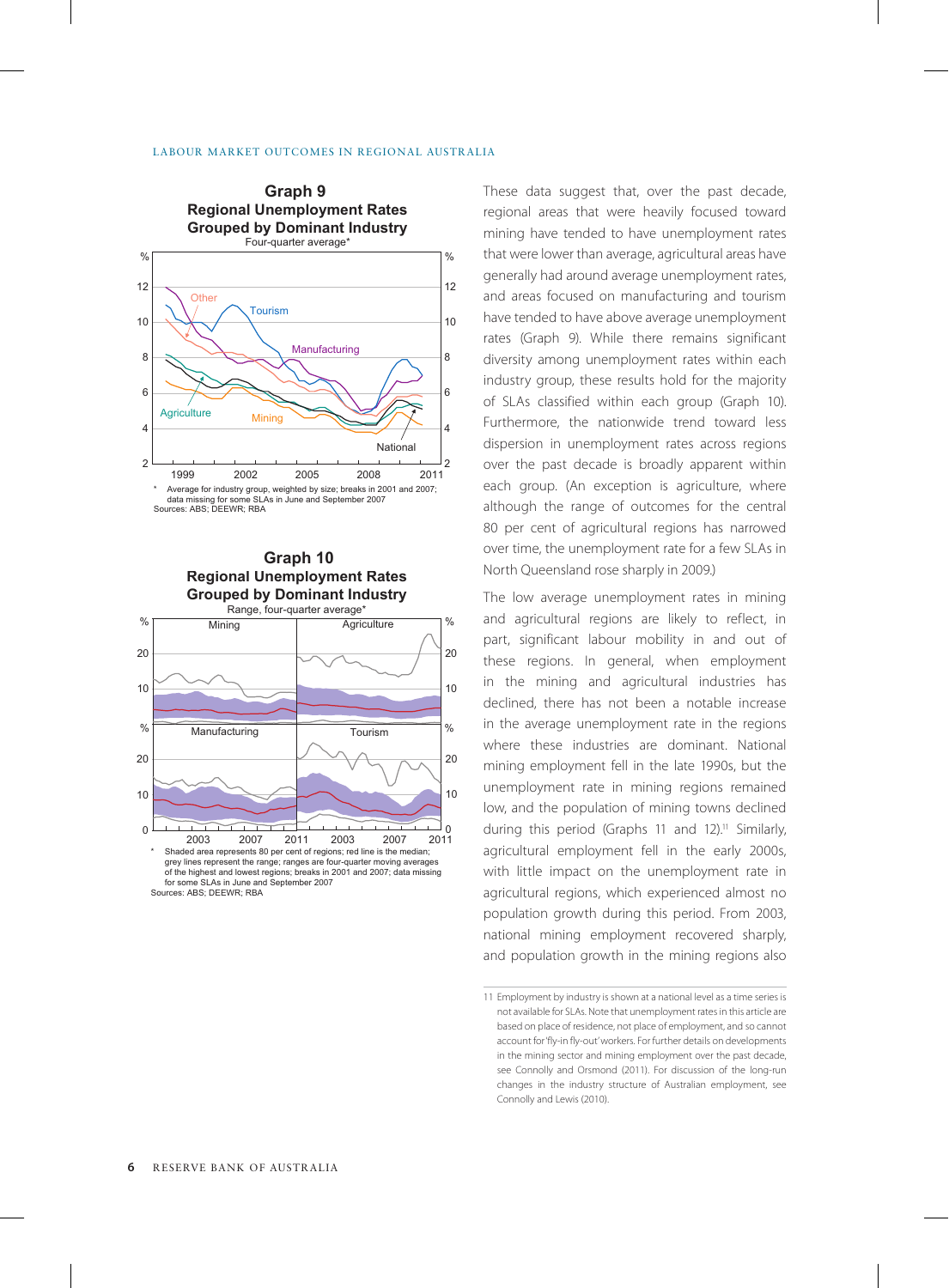



These data suggest that, over the past decade, regional areas that were heavily focused toward mining have tended to have unemployment rates that were lower than average, agricultural areas have generally had around average unemployment rates, and areas focused on manufacturing and tourism have tended to have above average unemployment rates (Graph 9). While there remains significant diversity among unemployment rates within each industry group, these results hold for the majority of SLAs classified within each group (Graph 10). Furthermore, the nationwide trend toward less dispersion in unemployment rates across regions over the past decade is broadly apparent within each group. (An exception is agriculture, where although the range of outcomes for the central 80 per cent of agricultural regions has narrowed over time, the unemployment rate for a few SLAs in North Queensland rose sharply in 2009.)

The low average unemployment rates in mining and agricultural regions are likely to reflect, in part, significant labour mobility in and out of these regions. In general, when employment in the mining and agricultural industries has declined, there has not been a notable increase in the average unemployment rate in the regions where these industries are dominant. National mining employment fell in the late 1990s, but the unemployment rate in mining regions remained low, and the population of mining towns declined during this period (Graphs 11 and 12).<sup>11</sup> Similarly, agricultural employment fell in the early 2000s, with little impact on the unemployment rate in agricultural regions, which experienced almost no population growth during this period. From 2003, national mining employment recovered sharply, and population growth in the mining regions also

**6** Reserve Bank of Australia

<sup>11</sup> Employment by industry is shown at a national level as a time series is not available for SLAs. Note that unemployment rates in this article are based on place of residence, not place of employment, and so cannot account for 'fly-in fly-out' workers. For further details on developments in the mining sector and mining employment over the past decade, see Connolly and Orsmond (2011). For discussion of the long-run changes in the industry structure of Australian employment, see Connolly and Lewis (2010).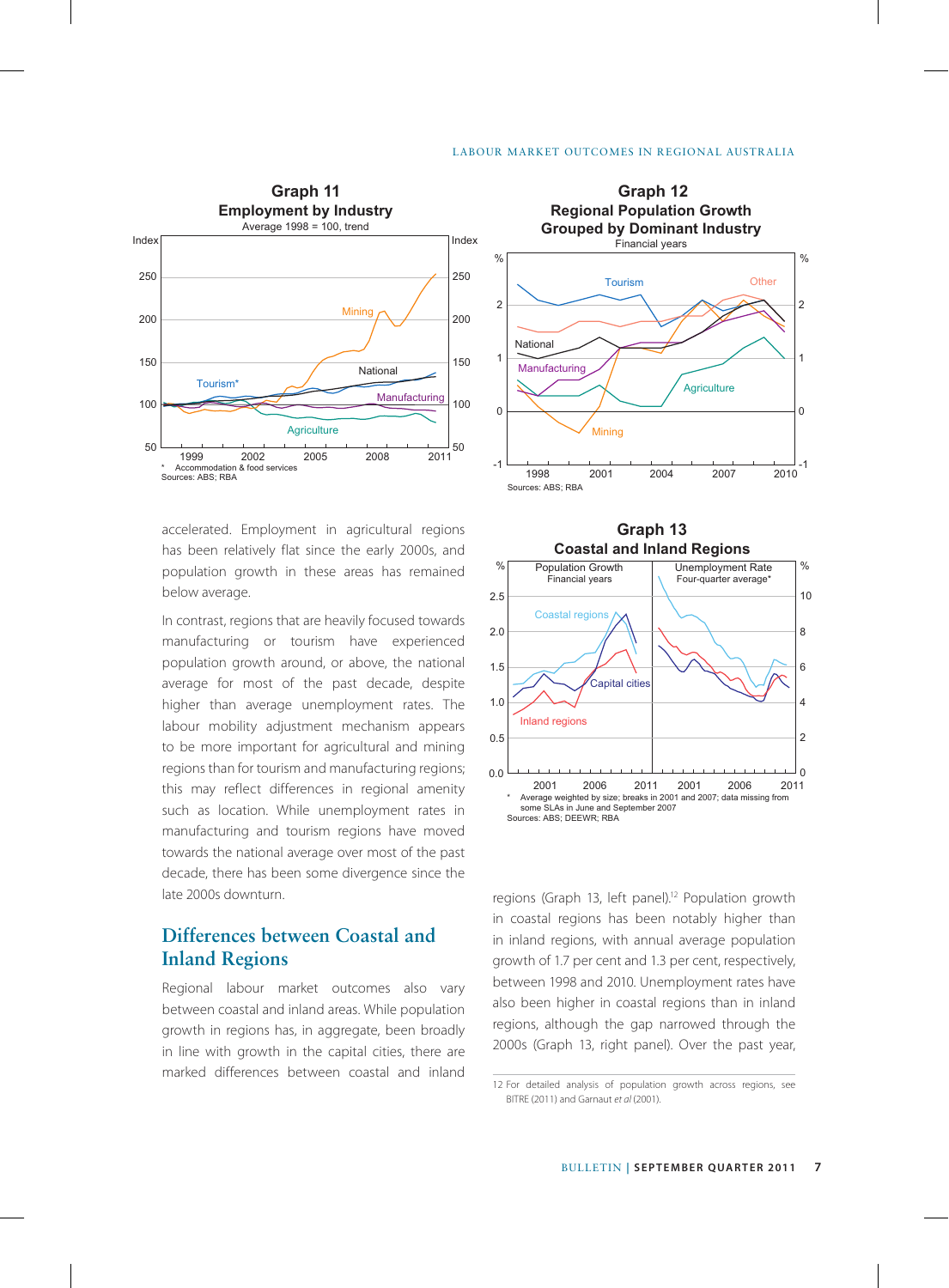

accelerated. Employment in agricultural regions has been relatively flat since the early 2000s, and population growth in these areas has remained below average.

In contrast, regions that are heavily focused towards manufacturing or tourism have experienced population growth around, or above, the national average for most of the past decade, despite higher than average unemployment rates. The labour mobility adjustment mechanism appears to be more important for agricultural and mining regions than for tourism and manufacturing regions; this may reflect differences in regional amenity such as location. While unemployment rates in manufacturing and tourism regions have moved towards the national average over most of the past decade, there has been some divergence since the late 2000s downturn.

# **Differences between Coastal and Inland Regions**

Regional labour market outcomes also vary between coastal and inland areas. While population growth in regions has, in aggregate, been broadly in line with growth in the capital cities, there are marked differences between coastal and inland





regions (Graph 13, left panel).<sup>12</sup> Population growth in coastal regions has been notably higher than in inland regions, with annual average population growth of 1.7 per cent and 1.3 per cent, respectively, between 1998 and 2010. Unemployment rates have also been higher in coastal regions than in inland regions, although the gap narrowed through the 2000s (Graph 13, right panel). Over the past year,

<sup>12</sup> For detailed analysis of population growth across regions, see BITRE (2011) and Garnaut *et al* (2001).